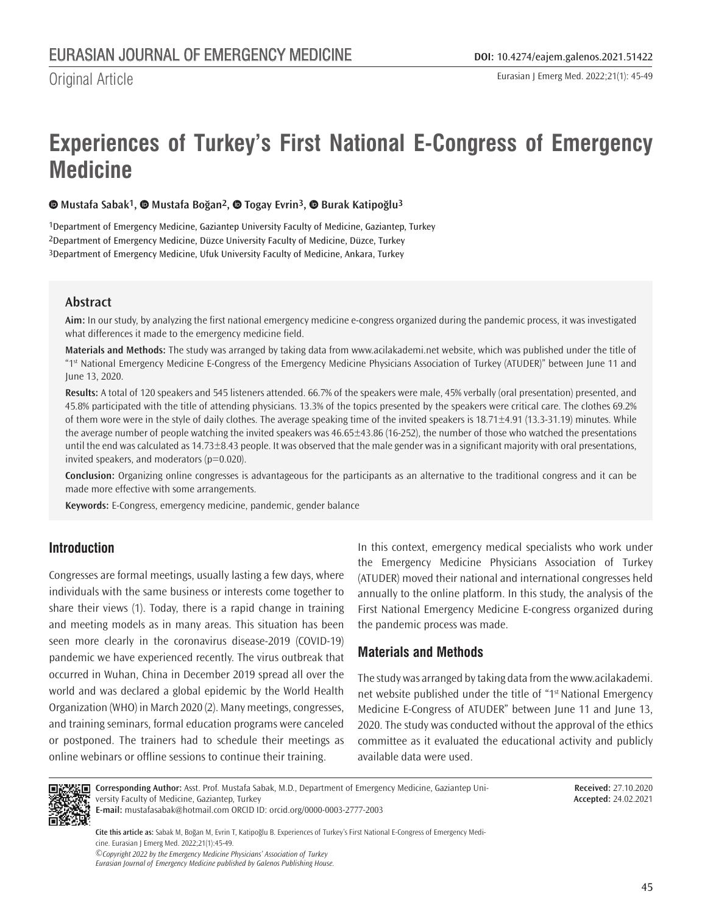Original Article

# **Experiences of Turkey's First National E-Congress of Emergency Medicine**

**Mustafa Sabak1,Mustafa Boğan2,Togay Evrin3,Burak Katipoğlu3**

1Department of Emergency Medicine, Gaziantep University Faculty of Medicine, Gaziantep, Turkey 2Department of Emergency Medicine, Düzce University Faculty of Medicine, Düzce, Turkey 3Department of Emergency Medicine, Ufuk University Faculty of Medicine, Ankara, Turkey

## **Abstract**

**Aim:** In our study, by analyzing the first national emergency medicine e-congress organized during the pandemic process, it was investigated what differences it made to the emergency medicine field.

**Materials and Methods:** The study was arranged by taking data from www.acilakademi.net website, which was published under the title of "1st National Emergency Medicine E-Congress of the Emergency Medicine Physicians Association of Turkey (ATUDER)" between June 11 and June 13, 2020.

**Results:** A total of 120 speakers and 545 listeners attended. 66.7% of the speakers were male, 45% verbally (oral presentation) presented, and 45.8% participated with the title of attending physicians. 13.3% of the topics presented by the speakers were critical care. The clothes 69.2% of them wore were in the style of daily clothes. The average speaking time of the invited speakers is 18.71±4.91 (13.3-31.19) minutes. While the average number of people watching the invited speakers was 46.65±43.86 (16-252), the number of those who watched the presentations until the end was calculated as 14.73±8.43 people. It was observed that the male gender was in a significant majority with oral presentations, invited speakers, and moderators  $(p=0.020)$ .

**Conclusion:** Organizing online congresses is advantageous for the participants as an alternative to the traditional congress and it can be made more effective with some arrangements.

**Keywords:** E-Congress, emergency medicine, pandemic, gender balance

# **Introduction**

Congresses are formal meetings, usually lasting a few days, where individuals with the same business or interests come together to share their views (1). Today, there is a rapid change in training and meeting models as in many areas. This situation has been seen more clearly in the coronavirus disease-2019 (COVID-19) pandemic we have experienced recently. The virus outbreak that occurred in Wuhan, China in December 2019 spread all over the world and was declared a global epidemic by the World Health Organization (WHO) in March 2020 (2). Many meetings, congresses, and training seminars, formal education programs were canceled or postponed. The trainers had to schedule their meetings as online webinars or offline sessions to continue their training.

In this context, emergency medical specialists who work under the Emergency Medicine Physicians Association of Turkey (ATUDER) moved their national and international congresses held annually to the online platform. In this study, the analysis of the First National Emergency Medicine E-congress organized during the pandemic process was made.

# **Materials and Methods**

The study was arranged by taking data from the www.acilakademi. net website published under the title of "1<sup>st</sup> National Emergency Medicine E-Congress of ATUDER" between June 11 and June 13, 2020. The study was conducted without the approval of the ethics committee as it evaluated the educational activity and publicly available data were used.



**Corresponding Author:** Asst. Prof. Mustafa Sabak, M.D., Department of Emergency Medicine, Gaziantep University Faculty of Medicine, Gaziantep, Turkey

**Received:** 27.10.2020 **Accepted:** 24.02.2021

**E-mail:** mustafasabak@hotmail.com ORCID ID: orcid.org/0000-0003-2777-2003

*©Copyright 2022 by the Emergency Medicine Physicians' Association of Turkey* **Cite this article as:** Sabak M, Boğan M, Evrin T, Katipoğlu B. Experiences of Turkey's First National E-Congress of Emergency Medicine. Eurasian J Emerg Med. 2022;21(1):45-49.

*Eurasian Journal of Emergency Medicine published by Galenos Publishing House.*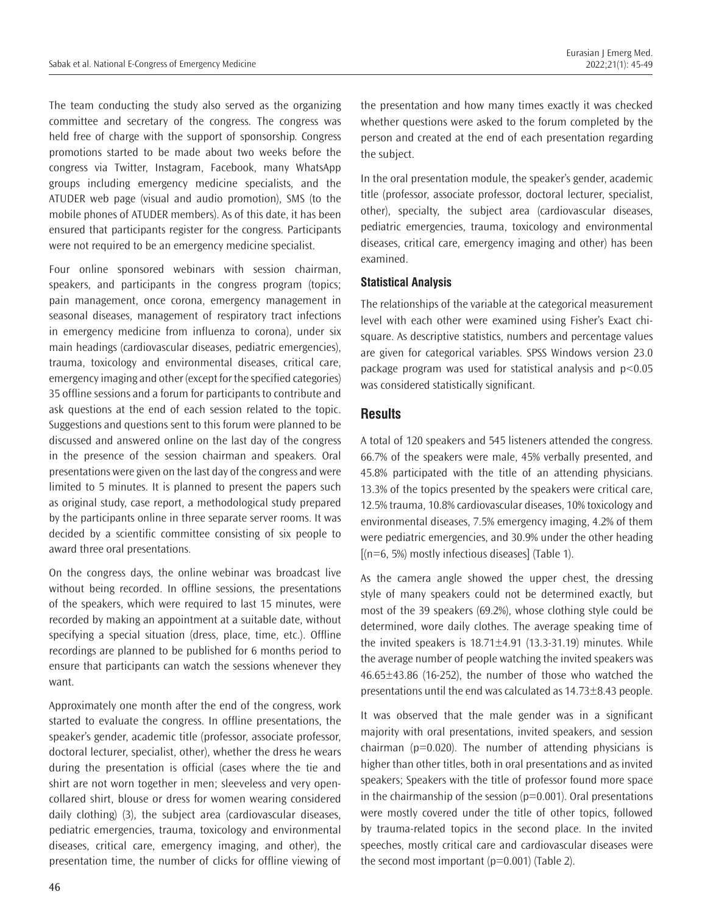The team conducting the study also served as the organizing committee and secretary of the congress. The congress was held free of charge with the support of sponsorship. Congress promotions started to be made about two weeks before the congress via Twitter, Instagram, Facebook, many WhatsApp groups including emergency medicine specialists, and the ATUDER web page (visual and audio promotion), SMS (to the mobile phones of ATUDER members). As of this date, it has been ensured that participants register for the congress. Participants were not required to be an emergency medicine specialist.

Four online sponsored webinars with session chairman, speakers, and participants in the congress program (topics; pain management, once corona, emergency management in seasonal diseases, management of respiratory tract infections in emergency medicine from influenza to corona), under six main headings (cardiovascular diseases, pediatric emergencies), trauma, toxicology and environmental diseases, critical care, emergency imaging and other (except for the specified categories) 35 offline sessions and a forum for participants to contribute and ask questions at the end of each session related to the topic. Suggestions and questions sent to this forum were planned to be discussed and answered online on the last day of the congress in the presence of the session chairman and speakers. Oral presentations were given on the last day of the congress and were limited to 5 minutes. It is planned to present the papers such as original study, case report, a methodological study prepared by the participants online in three separate server rooms. It was decided by a scientific committee consisting of six people to award three oral presentations.

On the congress days, the online webinar was broadcast live without being recorded. In offline sessions, the presentations of the speakers, which were required to last 15 minutes, were recorded by making an appointment at a suitable date, without specifying a special situation (dress, place, time, etc.). Offline recordings are planned to be published for 6 months period to ensure that participants can watch the sessions whenever they want.

Approximately one month after the end of the congress, work started to evaluate the congress. In offline presentations, the speaker's gender, academic title (professor, associate professor, doctoral lecturer, specialist, other), whether the dress he wears during the presentation is official (cases where the tie and shirt are not worn together in men; sleeveless and very opencollared shirt, blouse or dress for women wearing considered daily clothing) (3), the subject area (cardiovascular diseases, pediatric emergencies, trauma, toxicology and environmental diseases, critical care, emergency imaging, and other), the presentation time, the number of clicks for offline viewing of

the presentation and how many times exactly it was checked whether questions were asked to the forum completed by the person and created at the end of each presentation regarding the subject.

In the oral presentation module, the speaker's gender, academic title (professor, associate professor, doctoral lecturer, specialist, other), specialty, the subject area (cardiovascular diseases, pediatric emergencies, trauma, toxicology and environmental diseases, critical care, emergency imaging and other) has been examined.

#### **Statistical Analysis**

The relationships of the variable at the categorical measurement level with each other were examined using Fisher's Exact chisquare. As descriptive statistics, numbers and percentage values are given for categorical variables. SPSS Windows version 23.0 package program was used for statistical analysis and p<0.05 was considered statistically significant.

#### **Results**

A total of 120 speakers and 545 listeners attended the congress. 66.7% of the speakers were male, 45% verbally presented, and 45.8% participated with the title of an attending physicians. 13.3% of the topics presented by the speakers were critical care, 12.5% trauma, 10.8% cardiovascular diseases, 10% toxicology and environmental diseases, 7.5% emergency imaging, 4.2% of them were pediatric emergencies, and 30.9% under the other heading  $[(n=6, 5%)$  mostly infectious diseases] (Table 1).

As the camera angle showed the upper chest, the dressing style of many speakers could not be determined exactly, but most of the 39 speakers (69.2%), whose clothing style could be determined, wore daily clothes. The average speaking time of the invited speakers is  $18.71 \pm 4.91$  (13.3-31.19) minutes. While the average number of people watching the invited speakers was 46.65±43.86 (16-252), the number of those who watched the presentations until the end was calculated as 14.73±8.43 people.

It was observed that the male gender was in a significant majority with oral presentations, invited speakers, and session chairman ( $p=0.020$ ). The number of attending physicians is higher than other titles, both in oral presentations and as invited speakers; Speakers with the title of professor found more space in the chairmanship of the session  $(p=0.001)$ . Oral presentations were mostly covered under the title of other topics, followed by trauma-related topics in the second place. In the invited speeches, mostly critical care and cardiovascular diseases were the second most important  $(p=0.001)$  (Table 2).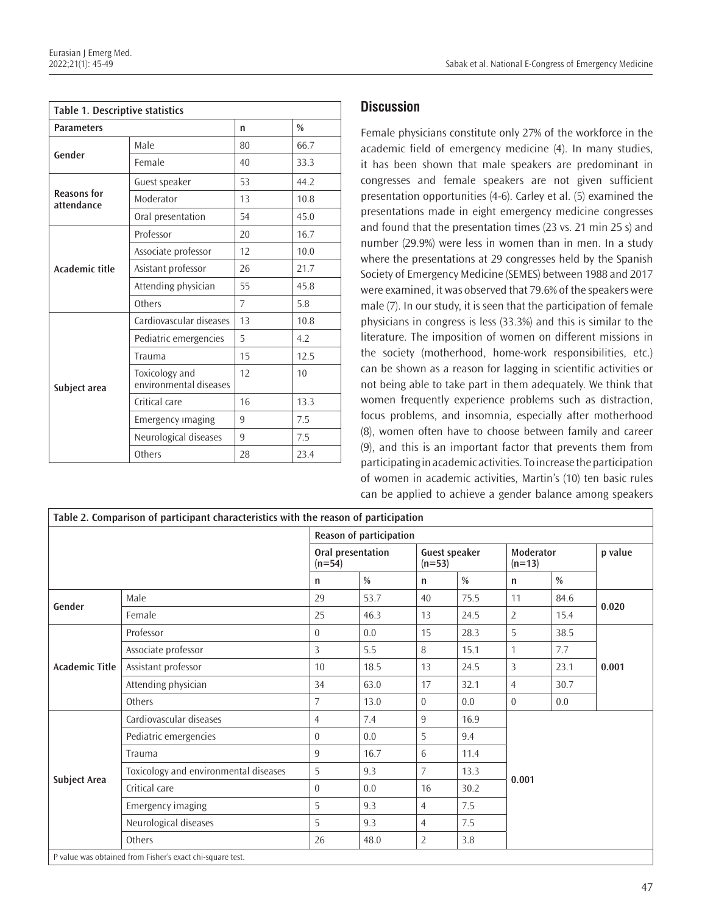| Table 1. Descriptive statistics  |                                          |               |      |  |  |  |
|----------------------------------|------------------------------------------|---------------|------|--|--|--|
| <b>Parameters</b>                | n                                        | $\frac{0}{0}$ |      |  |  |  |
| Gender                           | Male                                     | 80            | 66.7 |  |  |  |
|                                  | Female                                   | 40            | 33.3 |  |  |  |
| <b>Reasons for</b><br>attendance | Guest speaker                            | 53            | 44.2 |  |  |  |
|                                  | Moderator                                | 13            | 10.8 |  |  |  |
|                                  | Oral presentation                        | 54            | 45.0 |  |  |  |
| <b>Academic title</b>            | Professor                                | 20            | 16.7 |  |  |  |
|                                  | Associate professor                      | 12            | 10.0 |  |  |  |
|                                  | Asistant professor                       | 26            | 21.7 |  |  |  |
|                                  | Attending physician                      | 55            | 45.8 |  |  |  |
|                                  | Others                                   | 7             | 5.8  |  |  |  |
| Subject area                     | Cardiovascular diseases                  | 13            | 10.8 |  |  |  |
|                                  | Pediatric emergencies                    | 5             | 4.2  |  |  |  |
|                                  | Trauma                                   | 15            | 12.5 |  |  |  |
|                                  | Toxicology and<br>environmental diseases | 12            | 10   |  |  |  |
|                                  | Critical care                            | 16            | 13.3 |  |  |  |
|                                  | Emergency imaging                        | 9             | 7.5  |  |  |  |
|                                  | Neurological diseases                    | 9             | 7.5  |  |  |  |
|                                  | Others                                   | 28            | 23.4 |  |  |  |

## **Discussion**

Female physicians constitute only 27% of the workforce in the academic field of emergency medicine (4). In many studies, it has been shown that male speakers are predominant in congresses and female speakers are not given sufficient presentation opportunities (4-6). Carley et al. (5) examined the presentations made in eight emergency medicine congresses and found that the presentation times (23 vs. 21 min 25 s) and number (29.9%) were less in women than in men. In a study where the presentations at 29 congresses held by the Spanish Society of Emergency Medicine (SEMES) between 1988 and 2017 were examined, it was observed that 79.6% of the speakers were male (7). In our study, it is seen that the participation of female physicians in congress is less (33.3%) and this is similar to the literature. The imposition of women on different missions in the society (motherhood, home-work responsibilities, etc.) can be shown as a reason for lagging in scientific activities or not being able to take part in them adequately. We think that women frequently experience problems such as distraction, focus problems, and insomnia, especially after motherhood (8), women often have to choose between family and career (9), and this is an important factor that prevents them from participating in academic activities. To increase the participation of women in academic activities, Martin's (10) ten basic rules can be applied to achieve a gender balance among speakers

| Table 2. Comparison of participant characteristics with the reason of participation |                                       |                               |               |                                  |      |                       |       |         |  |
|-------------------------------------------------------------------------------------|---------------------------------------|-------------------------------|---------------|----------------------------------|------|-----------------------|-------|---------|--|
|                                                                                     | Reason of participation               |                               |               |                                  |      |                       |       |         |  |
|                                                                                     |                                       | Oral presentation<br>$(n=54)$ |               | <b>Guest speaker</b><br>$(n=53)$ |      | Moderator<br>$(n=13)$ |       | p value |  |
|                                                                                     |                                       | n                             | $\frac{0}{0}$ | n                                | $\%$ | $\mathsf{n}$          | $\%$  |         |  |
| Gender                                                                              | Male                                  | 29                            | 53.7          | 40                               | 75.5 | 11                    | 84.6  | 0.020   |  |
|                                                                                     | Female                                | 25                            | 46.3          | 13                               | 24.5 | $\overline{2}$        | 15.4  |         |  |
| <b>Academic Title</b>                                                               | Professor                             | $\Omega$                      | 0.0           | 15                               | 28.3 | 5                     | 38.5  | 0.001   |  |
|                                                                                     | Associate professor                   | 3                             | 5.5           | 8                                | 15.1 | 1                     | 7.7   |         |  |
|                                                                                     | Assistant professor                   | 10 <sup>°</sup>               | 18.5          | 13                               | 24.5 | 3                     | 23.1  |         |  |
|                                                                                     | Attending physician                   | 34                            | 63.0          | 17                               | 32.1 | $\overline{4}$        | 30.7  |         |  |
|                                                                                     | Others                                | 7                             | 13.0          | $\theta$                         | 0.0  | $\Omega$              | 0.0   |         |  |
| Subject Area                                                                        | Cardiovascular diseases               | 4                             | 7.4           | 9                                | 16.9 |                       |       |         |  |
|                                                                                     | Pediatric emergencies                 | $\Omega$                      | 0.0           | 5                                | 9.4  |                       | 0.001 |         |  |
|                                                                                     | Trauma                                | 9                             | 16.7          | 6                                | 11.4 |                       |       |         |  |
|                                                                                     | Toxicology and environmental diseases | 5                             | 9.3           | $\overline{7}$                   | 13.3 |                       |       |         |  |
|                                                                                     | Critical care                         | $\overline{0}$                | 0.0           | 16                               | 30.2 |                       |       |         |  |
|                                                                                     | <b>Emergency imaging</b>              | 5                             | 9.3           | $\overline{4}$                   | 7.5  |                       |       |         |  |
|                                                                                     | Neurological diseases                 | 5                             | 9.3           | $\overline{4}$                   | 7.5  |                       |       |         |  |
|                                                                                     | Others                                | 26                            | 48.0          | $\overline{2}$                   | 3.8  |                       |       |         |  |
| B value was obtained from Eisher's exact chi square test                            |                                       |                               |               |                                  |      |                       |       |         |  |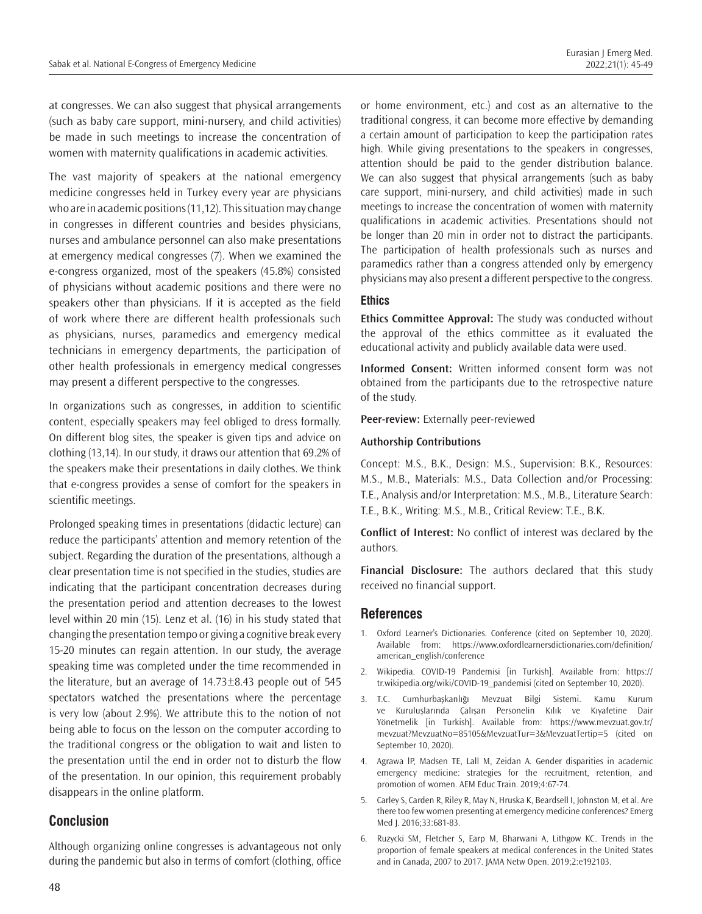at congresses. We can also suggest that physical arrangements (such as baby care support, mini-nursery, and child activities) be made in such meetings to increase the concentration of women with maternity qualifications in academic activities.

The vast majority of speakers at the national emergency medicine congresses held in Turkey every year are physicians who are in academic positions (11,12). This situation may change in congresses in different countries and besides physicians, nurses and ambulance personnel can also make presentations at emergency medical congresses (7). When we examined the e-congress organized, most of the speakers (45.8%) consisted of physicians without academic positions and there were no speakers other than physicians. If it is accepted as the field of work where there are different health professionals such as physicians, nurses, paramedics and emergency medical technicians in emergency departments, the participation of other health professionals in emergency medical congresses may present a different perspective to the congresses.

In organizations such as congresses, in addition to scientific content, especially speakers may feel obliged to dress formally. On different blog sites, the speaker is given tips and advice on clothing (13,14). In our study, it draws our attention that 69.2% of the speakers make their presentations in daily clothes. We think that e-congress provides a sense of comfort for the speakers in scientific meetings.

Prolonged speaking times in presentations (didactic lecture) can reduce the participants' attention and memory retention of the subject. Regarding the duration of the presentations, although a clear presentation time is not specified in the studies, studies are indicating that the participant concentration decreases during the presentation period and attention decreases to the lowest level within 20 min (15). Lenz et al. (16) in his study stated that changing the presentation tempo or giving a cognitive break every 15-20 minutes can regain attention. In our study, the average speaking time was completed under the time recommended in the literature, but an average of  $14.73\pm8.43$  people out of 545 spectators watched the presentations where the percentage is very low (about 2.9%). We attribute this to the notion of not being able to focus on the lesson on the computer according to the traditional congress or the obligation to wait and listen to the presentation until the end in order not to disturb the flow of the presentation. In our opinion, this requirement probably disappears in the online platform.

## **Conclusion**

Although organizing online congresses is advantageous not only during the pandemic but also in terms of comfort (clothing, office or home environment, etc.) and cost as an alternative to the traditional congress, it can become more effective by demanding a certain amount of participation to keep the participation rates high. While giving presentations to the speakers in congresses, attention should be paid to the gender distribution balance. We can also suggest that physical arrangements (such as baby care support, mini-nursery, and child activities) made in such meetings to increase the concentration of women with maternity qualifications in academic activities. Presentations should not be longer than 20 min in order not to distract the participants. The participation of health professionals such as nurses and paramedics rather than a congress attended only by emergency physicians may also present a different perspective to the congress.

#### **Ethics**

**Ethics Committee Approval:** The study was conducted without the approval of the ethics committee as it evaluated the educational activity and publicly available data were used.

**Informed Consent:** Written informed consent form was not obtained from the participants due to the retrospective nature of the study.

**Peer-review:** Externally peer-reviewed

#### **Authorship Contributions**

Concept: M.S., B.K., Design: M.S., Supervision: B.K., Resources: M.S., M.B., Materials: M.S., Data Collection and/or Processing: T.E., Analysis and/or Interpretation: M.S., M.B., Literature Search: T.E., B.K., Writing: M.S., M.B., Critical Review: T.E., B.K.

**Conflict of Interest:** No conflict of interest was declared by the authors.

**Financial Disclosure:** The authors declared that this study received no financial support.

## **References**

- 1. Oxford Learner's Dictionaries. Conference (cited on September 10, 2020). Available from: https://www.oxfordlearnersdictionaries.com/definition/ american\_english/conference
- 2. Wikipedia. COVID-19 Pandemisi [in Turkish]. Available from: https:// tr.wikipedia.org/wiki/COVID-19\_pandemisi (cited on September 10, 2020).
- 3. T.C. Cumhurbaşkanlığı Mevzuat Bilgi Sistemi. Kamu Kurum ve Kuruluşlarında Çalışan Personelin Kılık ve Kıyafetine Dair Yönetmelik [in Turkish]. Available from: https://www.mevzuat.gov.tr/ mevzuat?MevzuatNo=85105&MevzuatTur=3&MevzuatTertip=5 (cited on September 10, 2020).
- 4. Agrawa lP, Madsen TE, Lall M, Zeidan A. Gender disparities in academic emergency medicine: strategies for the recruitment, retention, and promotion of women. AEM Educ Train. 2019;4:67-74.
- 5. Carley S, Carden R, Riley R, May N, Hruska K, Beardsell I, Johnston M, et al. Are there too few women presenting at emergency medicine conferences? Emerg Med J. 2016;33:681-83.
- 6. Ruzycki SM, Fletcher S, Earp M, Bharwani A, Lithgow KC. Trends in the proportion of female speakers at medical conferences in the United States and in Canada, 2007 to 2017. JAMA Netw Open. 2019;2:e192103.